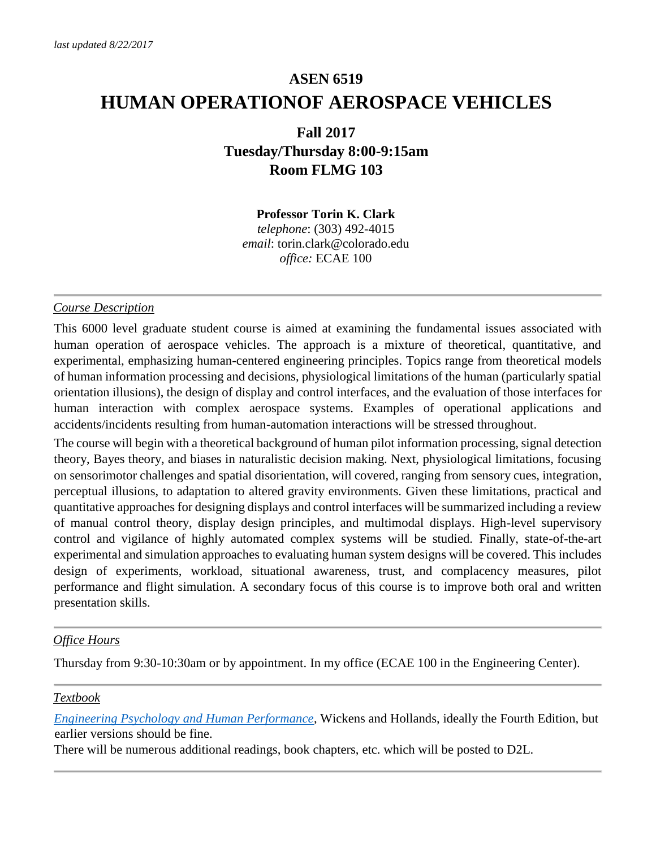# **ASEN 6519 HUMAN OPERATIONOF AEROSPACE VEHICLES**

### **Fall 2017 Tuesday/Thursday 8:00-9:15am Room FLMG 103**

## **Professor Torin K. Clark**

*telephone*: (303) 492-4015 *email*: torin.clark@colorado.edu *office:* ECAE 100

#### *Course Description*

This 6000 level graduate student course is aimed at examining the fundamental issues associated with human operation of aerospace vehicles. The approach is a mixture of theoretical, quantitative, and experimental, emphasizing human-centered engineering principles. Topics range from theoretical models of human information processing and decisions, physiological limitations of the human (particularly spatial orientation illusions), the design of display and control interfaces, and the evaluation of those interfaces for human interaction with complex aerospace systems. Examples of operational applications and accidents/incidents resulting from human-automation interactions will be stressed throughout.

The course will begin with a theoretical background of human pilot information processing, signal detection theory, Bayes theory, and biases in naturalistic decision making. Next, physiological limitations, focusing on sensorimotor challenges and spatial disorientation, will covered, ranging from sensory cues, integration, perceptual illusions, to adaptation to altered gravity environments. Given these limitations, practical and quantitative approaches for designing displays and control interfaces will be summarized including a review of manual control theory, display design principles, and multimodal displays. High-level supervisory control and vigilance of highly automated complex systems will be studied. Finally, state-of-the-art experimental and simulation approaches to evaluating human system designs will be covered. This includes design of experiments, workload, situational awareness, trust, and complacency measures, pilot performance and flight simulation. A secondary focus of this course is to improve both oral and written presentation skills.

#### *Office Hours*

Thursday from 9:30-10:30am or by appointment. In my office (ECAE 100 in the Engineering Center).

#### *Textbook*

*[Engineering Psychology and Human Performance](https://www.amazon.com/Engineering-Psychology-Performance-Christopher-Wickens/dp/0205021980)*[,](https://www.amazon.com/Engineering-Psychology-Performance-Christopher-Wickens/dp/0205021980) Wickens and Hollands, ideally the Fourth Edition, but earlier versions should be fine.

There will be numerous additional readings, book chapters, etc. which will be posted to D2L.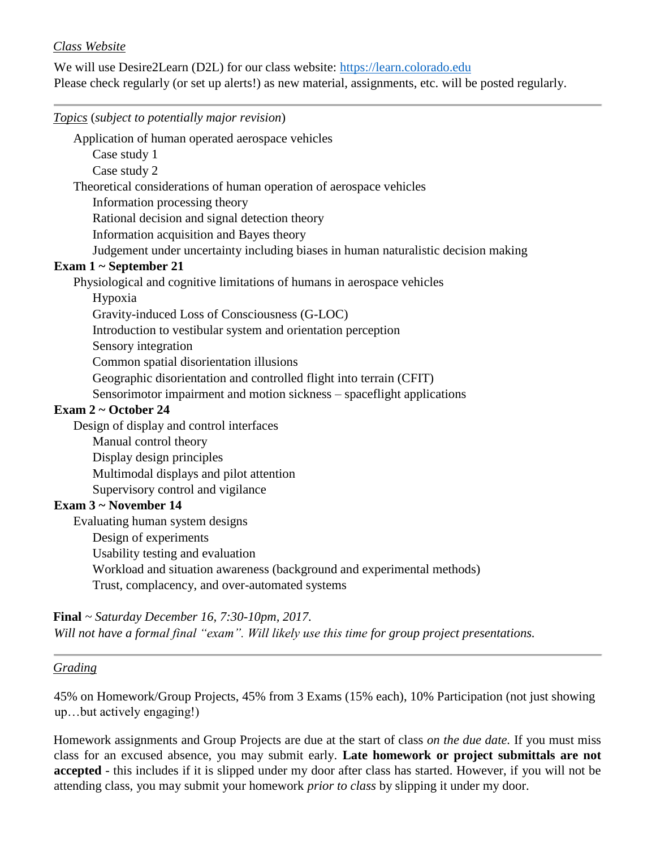#### *Class Website*

We will use Desire2Learn (D2L) for our class website: [https://learn.colorado.edu](https://learn.colorado.edu/) Please check regularly (or set up alerts!) as new material, assignments, etc. will be posted regularly.

*Topics* (*subject to potentially major revision*)

Application of human operated aerospace vehicles

Case study 1

Case study 2

Theoretical considerations of human operation of aerospace vehicles

Information processing theory

Rational decision and signal detection theory

Information acquisition and Bayes theory

Judgement under uncertainty including biases in human naturalistic decision making

#### **Exam 1 ~ September 21**

Physiological and cognitive limitations of humans in aerospace vehicles

Hypoxia

Gravity-induced Loss of Consciousness (G-LOC)

Introduction to vestibular system and orientation perception

Sensory integration

Common spatial disorientation illusions

Geographic disorientation and controlled flight into terrain (CFIT)

Sensorimotor impairment and motion sickness – spaceflight applications

#### **Exam 2 ~ October 24**

Design of display and control interfaces

Manual control theory

Display design principles

Multimodal displays and pilot attention

Supervisory control and vigilance

#### **Exam 3 ~ November 14**

Evaluating human system designs

Design of experiments

Usability testing and evaluation

Workload and situation awareness (background and experimental methods)

Trust, complacency, and over-automated systems

**Final** *~ Saturday December 16, 7:30-10pm, 2017.*

*Will not have a formal final "exam". Will likely use this time for group project presentations.* 

#### *Grading*

45% on Homework/Group Projects, 45% from 3 Exams (15% each), 10% Participation (not just showing up…but actively engaging!)

Homework assignments and Group Projects are due at the start of class *on the due date.* If you must miss class for an excused absence, you may submit early. **Late homework or project submittals are not accepted** - this includes if it is slipped under my door after class has started. However, if you will not be attending class, you may submit your homework *prior to class* by slipping it under my door.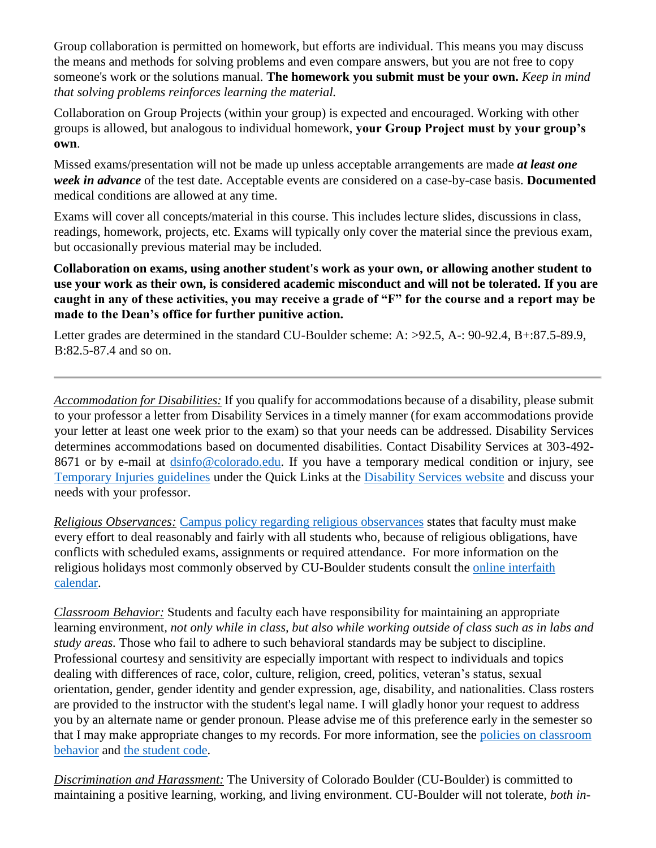Group collaboration is permitted on homework, but efforts are individual. This means you may discuss the means and methods for solving problems and even compare answers, but you are not free to copy someone's work or the solutions manual. **The homework you submit must be your own.** *Keep in mind that solving problems reinforces learning the material.*

Collaboration on Group Projects (within your group) is expected and encouraged. Working with other groups is allowed, but analogous to individual homework, **your Group Project must by your group's own**.

Missed exams/presentation will not be made up unless acceptable arrangements are made *at least one week in advance* of the test date. Acceptable events are considered on a case-by-case basis. **Documented** medical conditions are allowed at any time.

Exams will cover all concepts/material in this course. This includes lecture slides, discussions in class, readings, homework, projects, etc. Exams will typically only cover the material since the previous exam, but occasionally previous material may be included.

**Collaboration on exams, using another student's work as your own, or allowing another student to use your work as their own, is considered academic misconduct and will not be tolerated. If you are caught in any of these activities, you may receive a grade of "F" for the course and a report may be made to the Dean's office for further punitive action.**

Letter grades are determined in the standard CU-Boulder scheme: A: >92.5, A-: 90-92.4, B+:87.5-89.9, B:82.5-87.4 and so on.

*Accommodation for Disabilities:* If you qualify for accommodations because of a disability, please submit to your professor a letter from Disability Services in a timely manner (for exam accommodations provide your letter at least one week prior to the exam) so that your needs can be addressed. Disability Services determines accommodations based on documented disabilities. Contact Disability Services at 303-492- 8671 or by e-mail at [dsinfo@colorado.edu.](mailto:dsinfo@colorado.edu) If you have a temporary medical condition or injury, see [Temporary Injuries guidelines](http://www.alumniconnections.com/links/link.cgi?l=6835148&h=135258&e=UCBI-20151203180101) under the Quick Links at the [Disability Services website](http://www.alumniconnections.com/links/link.cgi?l=6835149&h=135258&e=UCBI-20151203180101) and discuss your needs with your professor.

*Religious Observances:* [Campus policy regarding religious observances](http://www.alumniconnections.com/links/link.cgi?l=6835150&h=135258&e=UCBI-20151203180101) states that faculty must make every effort to deal reasonably and fairly with all students who, because of religious obligations, have conflicts with scheduled exams, assignments or required attendance. For more information on the religious holidays most commonly observed by CU-Boulder students consult the [online interfaith](http://www.alumniconnections.com/links/link.cgi?l=6835151&h=135258&e=UCBI-20151203180101)  [calendar.](http://www.alumniconnections.com/links/link.cgi?l=6835151&h=135258&e=UCBI-20151203180101)

*Classroom Behavior:* Students and faculty each have responsibility for maintaining an appropriate learning environment*, not only while in class, but also while working outside of class such as in labs and study areas.* Those who fail to adhere to such behavioral standards may be subject to discipline. Professional courtesy and sensitivity are especially important with respect to individuals and topics dealing with differences of race, color, culture, religion, creed, politics, veteran's status, sexual orientation, gender, gender identity and gender expression, age, disability, and nationalities. Class rosters are provided to the instructor with the student's legal name. I will gladly honor your request to address you by an alternate name or gender pronoun. Please advise me of this preference early in the semester so that I may make appropriate changes to my records. For more information, see the policies on classroom [behavior](http://www.alumniconnections.com/links/link.cgi?l=6835155&h=135258&e=UCBI-20151203180101) and [the student code.](http://www.alumniconnections.com/links/link.cgi?l=6835156&h=135258&e=UCBI-20151203180101)

*Discrimination and Harassment:* The University of Colorado Boulder (CU-Boulder) is committed to maintaining a positive learning, working, and living environment. CU-Boulder will not tolerate, *both in-*